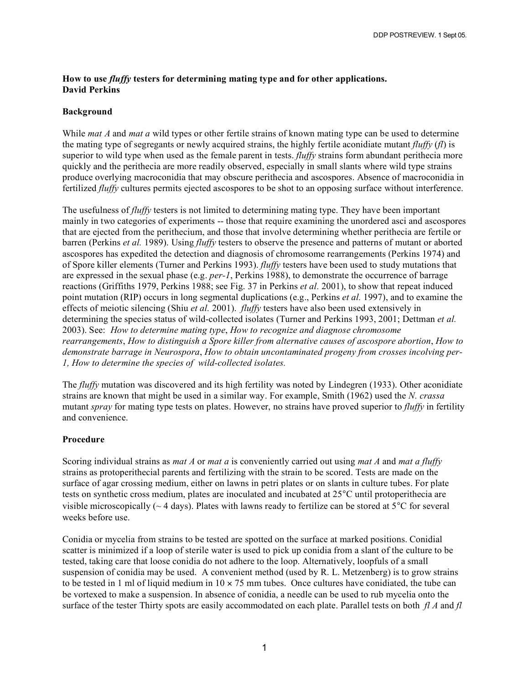## **How to use** *fluffy* **testers for determining mating type and for other applications. David Perkins**

## **Background**

While *mat A* and *mat a* wild types or other fertile strains of known mating type can be used to determine the mating type of segregants or newly acquired strains, the highly fertile aconidiate mutant *fluffy* (*fl*) is superior to wild type when used as the female parent in tests. *fluffy* strains form abundant perithecia more quickly and the perithecia are more readily observed, especially in small slants where wild type strains produce overlying macroconidia that may obscure perithecia and ascospores. Absence of macroconidia in fertilized *fluffy* cultures permits ejected ascospores to be shot to an opposing surface without interference.

The usefulness of *fluffy* testers is not limited to determining mating type. They have been important mainly in two categories of experiments -- those that require examining the unordered asci and ascospores that are ejected from the perithecium, and those that involve determining whether perithecia are fertile or barren (Perkins *et al.* 1989). Using *fluffy* testers to observe the presence and patterns of mutant or aborted ascospores has expedited the detection and diagnosis of chromosome rearrangements (Perkins 1974) and of Spore killer elements (Turner and Perkins 1993). *fluffy* testers have been used to study mutations that are expressed in the sexual phase (e.g. *per-1*, Perkins 1988), to demonstrate the occurrence of barrage reactions (Griffiths 1979, Perkins 1988; see Fig. 37 in Perkins *et al.* 2001), to show that repeat induced point mutation (RIP) occurs in long segmental duplications (e.g., Perkins *et al.* 1997), and to examine the effects of meiotic silencing (Shiu *et al.* 2001). *fluffy* testers have also been used extensively in determining the species status of wild-collected isolates (Turner and Perkins 1993, 2001; Dettman *et al.* 2003). See: *How to determine mating type*, *How to recognize and diagnose chromosome rearrangements*, *How to distinguish a Spore killer from alternative causes of ascospore abortion*, *How to demonstrate barrage in Neurospora*, *How to obtain uncontaminated progeny from crosses incolving per-1, How to determine the species of wild-collected isolates.*

The *fluffy* mutation was discovered and its high fertility was noted by Lindegren (1933). Other aconidiate strains are known that might be used in a similar way. For example, Smith (1962) used the *N. crassa* mutant *spray* for mating type tests on plates. However, no strains have proved superior to *fluffy* in fertility and convenience.

## **Procedure**

Scoring individual strains as *mat A* or *mat a* is conveniently carried out using *mat A* and *mat a fluffy* strains as protoperithecial parents and fertilizing with the strain to be scored. Tests are made on the surface of agar crossing medium, either on lawns in petri plates or on slants in culture tubes. For plate tests on synthetic cross medium, plates are inoculated and incubated at 25°C until protoperithecia are visible microscopically ( $\sim$  4 days). Plates with lawns ready to fertilize can be stored at 5°C for several weeks before use.

Conidia or mycelia from strains to be tested are spotted on the surface at marked positions. Conidial scatter is minimized if a loop of sterile water is used to pick up conidia from a slant of the culture to be tested, taking care that loose conidia do not adhere to the loop. Alternatively, loopfuls of a small suspension of conidia may be used. A convenient method (used by R. L. Metzenberg) is to grow strains to be tested in 1 ml of liquid medium in  $10 \times 75$  mm tubes. Once cultures have conidiated, the tube can be vortexed to make a suspension. In absence of conidia, a needle can be used to rub mycelia onto the surface of the tester Thirty spots are easily accommodated on each plate. Parallel tests on both *fl A* and *fl*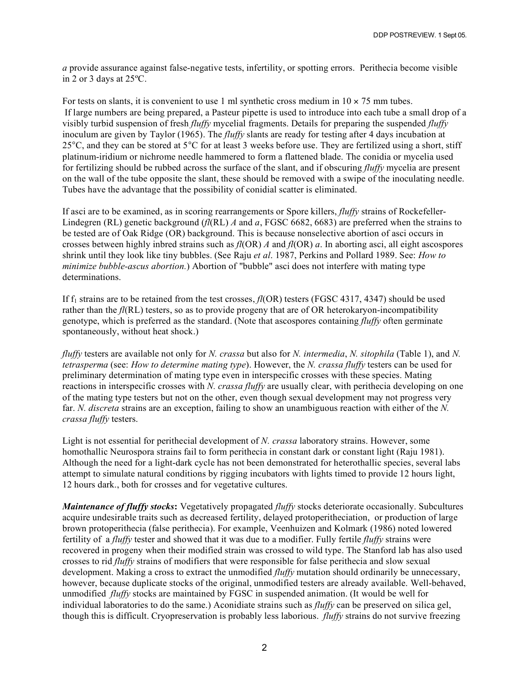*a* provide assurance against false-negative tests, infertility, or spotting errors. Perithecia become visible in 2 or 3 days at 25ºC.

For tests on slants, it is convenient to use 1 ml synthetic cross medium in  $10 \times 75$  mm tubes. If large numbers are being prepared, a Pasteur pipette is used to introduce into each tube a small drop of a visibly turbid suspension of fresh *fluffy* mycelial fragments. Details for preparing the suspended *fluffy* inoculum are given by Taylor (1965). The *fluffy* slants are ready for testing after 4 days incubation at 25 $^{\circ}$ C, and they can be stored at 5 $^{\circ}$ C for at least 3 weeks before use. They are fertilized using a short, stiff platinum-iridium or nichrome needle hammered to form a flattened blade. The conidia or mycelia used for fertilizing should be rubbed across the surface of the slant, and if obscuring *fluffy* mycelia are present on the wall of the tube opposite the slant, these should be removed with a swipe of the inoculating needle. Tubes have the advantage that the possibility of conidial scatter is eliminated.

If asci are to be examined, as in scoring rearrangements or Spore killers, *fluffy* strains of Rockefeller-Lindegren (RL) genetic background (*fl*(RL) *A* and *a*, FGSC 6682, 6683) are preferred when the strains to be tested are of Oak Ridge (OR) background. This is because nonselective abortion of asci occurs in crosses between highly inbred strains such as *fl*(OR) *A* and *fl*(OR) *a*. In aborting asci, all eight ascospores shrink until they look like tiny bubbles. (See Raju *et al*. 1987, Perkins and Pollard 1989. See: *How to minimize bubble-ascus abortion.*) Abortion of "bubble" asci does not interfere with mating type determinations.

If f<sub>1</sub> strains are to be retained from the test crosses, *fl*(OR) testers (FGSC 4317, 4347) should be used rather than the *fl*(RL) testers, so as to provide progeny that are of OR heterokaryon-incompatibility genotype, which is preferred as the standard. (Note that ascospores containing *fluffy* often germinate spontaneously, without heat shock.)

*fluffy* testers are available not only for *N. crassa* but also for *N. intermedia*, *N. sitophila* (Table 1), and *N. tetrasperma* (see: *How to determine mating type*). However, the *N. crassa fluffy* testers can be used for preliminary determination of mating type even in interspecific crosses with these species. Mating reactions in interspecific crosses with *N. crassa fluffy* are usually clear, with perithecia developing on one of the mating type testers but not on the other, even though sexual development may not progress very far. *N. discreta* strains are an exception, failing to show an unambiguous reaction with either of the *N. crassa fluffy* testers.

Light is not essential for perithecial development of *N. crassa* laboratory strains. However, some homothallic Neurospora strains fail to form perithecia in constant dark or constant light (Raju 1981). Although the need for a light-dark cycle has not been demonstrated for heterothallic species, several labs attempt to simulate natural conditions by rigging incubators with lights timed to provide 12 hours light, 12 hours dark., both for crosses and for vegetative cultures.

*Maintenance of fluffy stocks***:** Vegetatively propagated *fluffy* stocks deteriorate occasionally. Subcultures acquire undesirable traits such as decreased fertility, delayed protoperitheciation, or production of large brown protoperithecia (false perithecia). For example, Veenhuizen and Kolmark (1986) noted lowered fertility of a *fluffy* tester and showed that it was due to a modifier. Fully fertile *fluffy* strains were recovered in progeny when their modified strain was crossed to wild type. The Stanford lab has also used crosses to rid *fluffy* strains of modifiers that were responsible for false perithecia and slow sexual development. Making a cross to extract the unmodified *fluffy* mutation should ordinarily be unnecessary, however, because duplicate stocks of the original, unmodified testers are already available. Well-behaved, unmodified *fluffy* stocks are maintained by FGSC in suspended animation. (It would be well for individual laboratories to do the same.) Aconidiate strains such as *fluffy* can be preserved on silica gel, though this is difficult. Cryopreservation is probably less laborious. *fluffy* strains do not survive freezing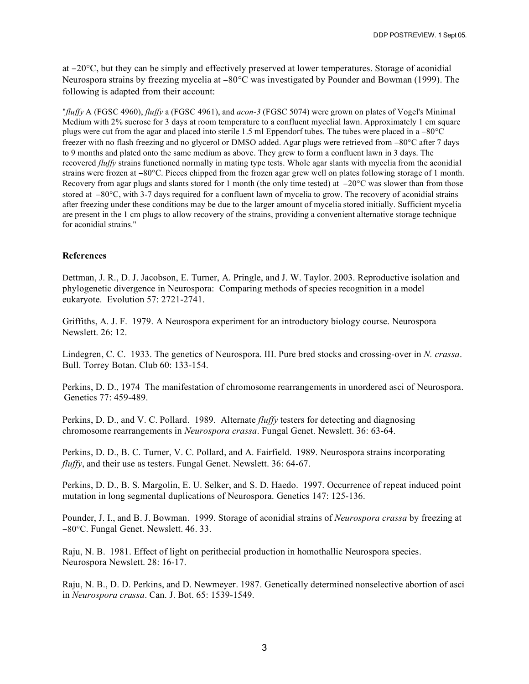at −20°C, but they can be simply and effectively preserved at lower temperatures. Storage of aconidial Neurospora strains by freezing mycelia at −80°C was investigated by Pounder and Bowman (1999). The following is adapted from their account:

"*fluffy* A (FGSC 4960), *fluffy* a (FGSC 4961), and *acon-3* (FGSC 5074) were grown on plates of Vogel's Minimal Medium with 2% sucrose for 3 days at room temperature to a confluent mycelial lawn. Approximately 1 cm square plugs were cut from the agar and placed into sterile 1.5 ml Eppendorf tubes. The tubes were placed in a −80°C freezer with no flash freezing and no glycerol or DMSO added. Agar plugs were retrieved from −80°C after 7 days to 9 months and plated onto the same medium as above. They grew to form a confluent lawn in 3 days. The recovered *fluffy* strains functioned normally in mating type tests. Whole agar slants with mycelia from the aconidial strains were frozen at −80°C. Pieces chipped from the frozen agar grew well on plates following storage of 1 month. Recovery from agar plugs and slants stored for 1 month (the only time tested) at −20°C was slower than from those stored at −80°C, with 3-7 days required for a confluent lawn of mycelia to grow. The recovery of aconidial strains after freezing under these conditions may be due to the larger amount of mycelia stored initially. Sufficient mycelia are present in the 1 cm plugs to allow recovery of the strains, providing a convenient alternative storage technique for aconidial strains."

## **References**

Dettman, J. R., D. J. Jacobson, E. Turner, A. Pringle, and J. W. Taylor. 2003. Reproductive isolation and phylogenetic divergence in Neurospora: Comparing methods of species recognition in a model eukaryote. Evolution 57: 2721-2741.

Griffiths, A. J. F. 1979. A Neurospora experiment for an introductory biology course. Neurospora Newslett. 26: 12.

Lindegren, C. C. 1933. The genetics of Neurospora. III. Pure bred stocks and crossing-over in *N. crassa*. Bull. Torrey Botan. Club 60: 133-154.

Perkins, D. D., 1974 The manifestation of chromosome rearrangements in unordered asci of Neurospora. Genetics 77: 459-489.

Perkins, D. D., and V. C. Pollard. 1989. Alternate *fluffy* testers for detecting and diagnosing chromosome rearrangements in *Neurospora crassa*. Fungal Genet. Newslett. 36: 63-64.

Perkins, D. D., B. C. Turner, V. C. Pollard, and A. Fairfield. 1989. Neurospora strains incorporating *fluffy*, and their use as testers. Fungal Genet. Newslett. 36: 64-67.

Perkins, D. D., B. S. Margolin, E. U. Selker, and S. D. Haedo. 1997. Occurrence of repeat induced point mutation in long segmental duplications of Neurospora. Genetics 147: 125-136.

Pounder, J. I., and B. J. Bowman. 1999. Storage of aconidial strains of *Neurospora crassa* by freezing at −80°C. Fungal Genet. Newslett. 46. 33.

Raju, N. B. 1981. Effect of light on perithecial production in homothallic Neurospora species. Neurospora Newslett. 28: 16-17.

Raju, N. B., D. D. Perkins, and D. Newmeyer. 1987. Genetically determined nonselective abortion of asci in *Neurospora crassa*. Can. J. Bot. 65: 1539-1549.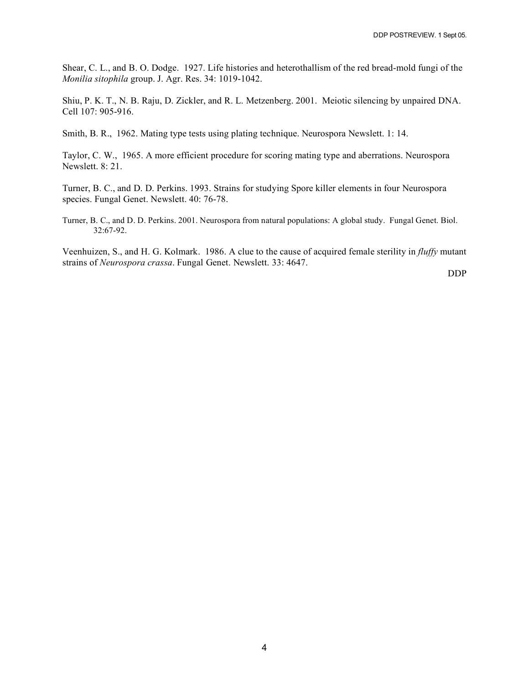Shear, C. L., and B. O. Dodge. 1927. Life histories and heterothallism of the red bread-mold fungi of the *Monilia sitophila* group. J. Agr. Res. 34: 1019-1042.

Shiu, P. K. T., N. B. Raju, D. Zickler, and R. L. Metzenberg. 2001. Meiotic silencing by unpaired DNA. Cell 107: 905-916.

Smith, B. R., 1962. Mating type tests using plating technique. Neurospora Newslett. 1: 14.

Taylor, C. W., 1965. A more efficient procedure for scoring mating type and aberrations. Neurospora Newslett. 8: 21.

Turner, B. C., and D. D. Perkins. 1993. Strains for studying Spore killer elements in four Neurospora species. Fungal Genet. Newslett. 40: 76-78.

Turner, B. C., and D. D. Perkins. 2001. Neurospora from natural populations: A global study. Fungal Genet. Biol. 32:67-92.

Veenhuizen, S., and H. G. Kolmark. 1986. A clue to the cause of acquired female sterility in *fluffy* mutant strains of *Neurospora crassa*. Fungal Genet. Newslett. 33: 4647.

DDP